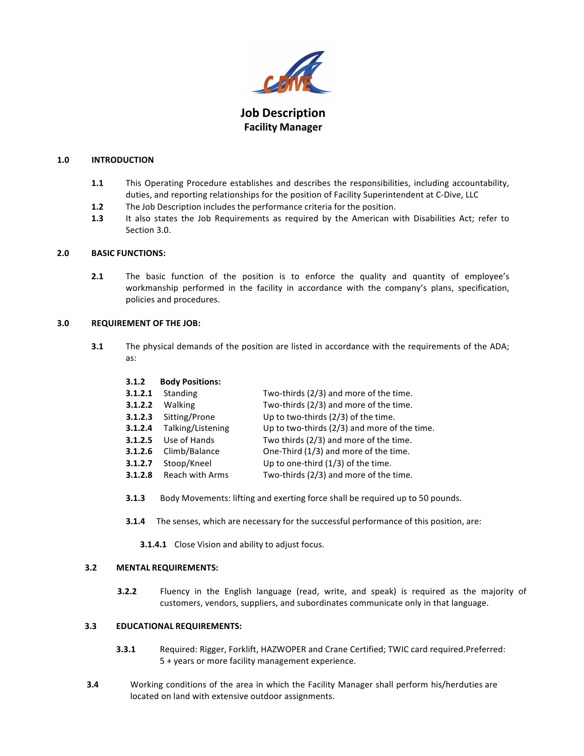

# **Job Description Facility Manager**

# **1.0 INTRODUCTION**

- **1.1** This Operating Procedure establishes and describes the responsibilities, including accountability, duties, and reporting relationships for the position of Facility Superintendent at C-Dive, LLC
- **1.2** The Job Description includes the performance criteria for the position.
- **1.3** It also states the Job Requirements as required by the American with Disabilities Act; refer to Section 3.0.

### **2.0 BASIC FUNCTIONS:**

**2.1** The basic function of the position is to enforce the quality and quantity of employee's workmanship performed in the facility in accordance with the company's plans, specification, policies and procedures.

### **3.0 REQUIREMENT OF THE JOB:**

**3.1** The physical demands of the position are listed in accordance with the requirements of the ADA; as:

#### **3.1.2 Body Positions:**

| 3.1.2.1 | Standing          | Two-thirds (2/3) and more of the time.       |
|---------|-------------------|----------------------------------------------|
| 3.1.2.2 | Walking           | Two-thirds (2/3) and more of the time.       |
| 3.1.2.3 | Sitting/Prone     | Up to two-thirds (2/3) of the time.          |
| 3.1.2.4 | Talking/Listening | Up to two-thirds (2/3) and more of the time. |
| 3.1.2.5 | Use of Hands      | Two thirds (2/3) and more of the time.       |
| 3.1.2.6 | Climb/Balance     | One-Third (1/3) and more of the time.        |
| 3.1.2.7 | Stoop/Kneel       | Up to one-third $(1/3)$ of the time.         |
| 3.1.2.8 | Reach with Arms   | Two-thirds (2/3) and more of the time.       |
|         |                   |                                              |

- **3.1.3** Body Movements: lifting and exerting force shall be required up to 50 pounds.
- **3.1.4** The senses, which are necessary for the successful performance of this position, are:

**3.1.4.1** Close Vision and ability to adjust focus.

# **3.2 MENTAL REQUIREMENTS:**

**3.2.2** Fluency in the English language (read, write, and speak) is required as the majority of customers, vendors, suppliers, and subordinates communicate only in that language.

#### **3.3 EDUCATIONAL REQUIREMENTS:**

- **3.3.1** Required: Rigger, Forklift, HAZWOPER and Crane Certified; TWIC card required.Preferred: 5 + years or more facility management experience.
- **3.4** Working conditions of the area in which the Facility Manager shall perform his/herduties are located on land with extensive outdoor assignments.